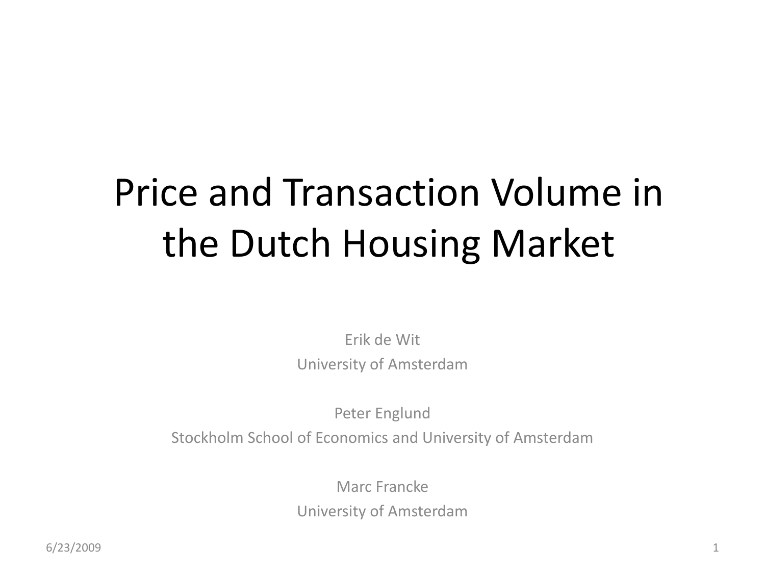## Price and Transaction Volume in the Dutch Housing Market

Erik de Wit University of Amsterdam

Peter Englund Stockholm School of Economics and University of Amsterdam

> Marc Francke University of Amsterdam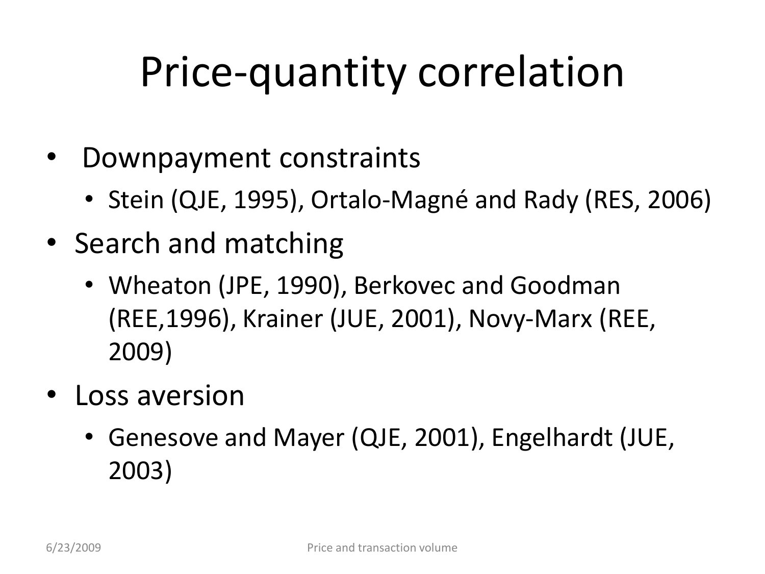# Price-quantity correlation

- Downpayment constraints
	- Stein (QJE, 1995), Ortalo-Magné and Rady (RES, 2006)
- Search and matching
	- Wheaton (JPE, 1990), Berkovec and Goodman (REE,1996), Krainer (JUE, 2001), Novy-Marx (REE, 2009)
- Loss aversion
	- Genesove and Mayer (QJE, 2001), Engelhardt (JUE, 2003)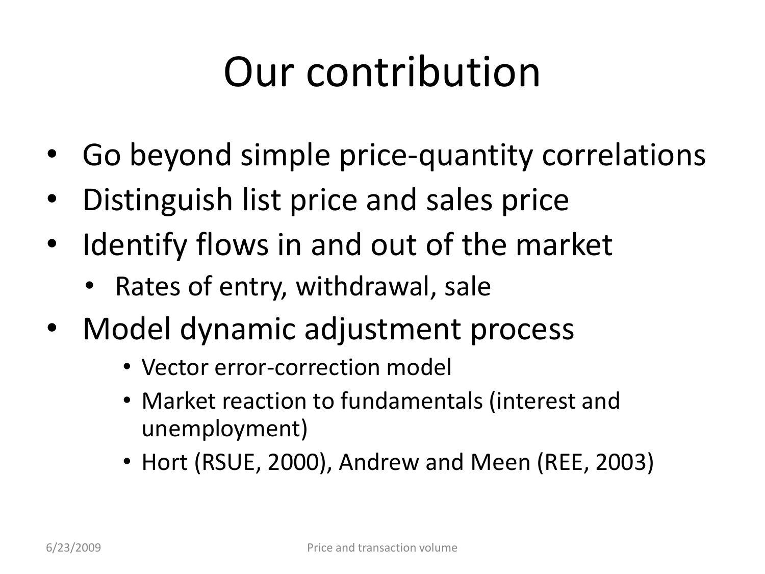# Our contribution

- Go beyond simple price-quantity correlations
- Distinguish list price and sales price
- Identify flows in and out of the market
	- Rates of entry, withdrawal, sale
- Model dynamic adjustment process
	- Vector error-correction model
	- Market reaction to fundamentals (interest and unemployment)
	- Hort (RSUE, 2000), Andrew and Meen (REE, 2003)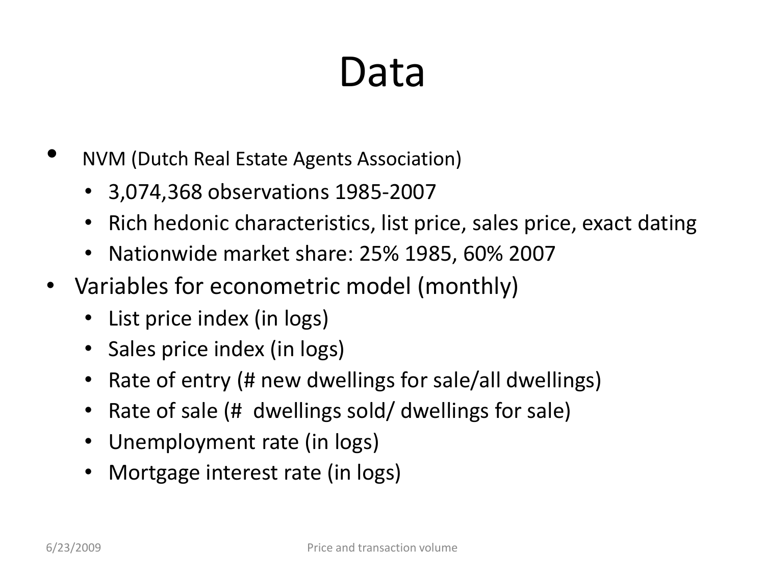## Data

- NVM (Dutch Real Estate Agents Association)
	- 3,074,368 observations 1985-2007
	- Rich hedonic characteristics, list price, sales price, exact dating
	- Nationwide market share: 25% 1985, 60% 2007
- Variables for econometric model (monthly)
	- List price index (in logs)
	- Sales price index (in logs)
	- Rate of entry (# new dwellings for sale/all dwellings)
	- Rate of sale (# dwellings sold/ dwellings for sale)
	- Unemployment rate (in logs)
	- Mortgage interest rate (in logs)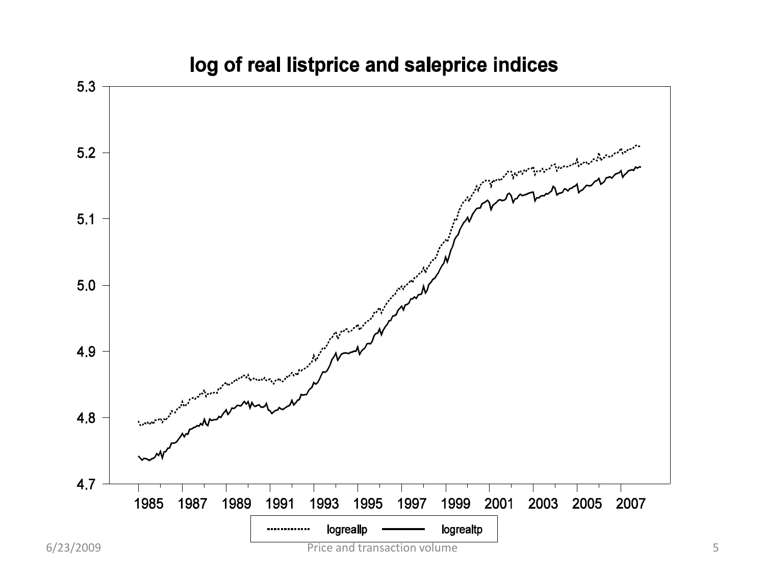

#### log of real listprice and saleprice indices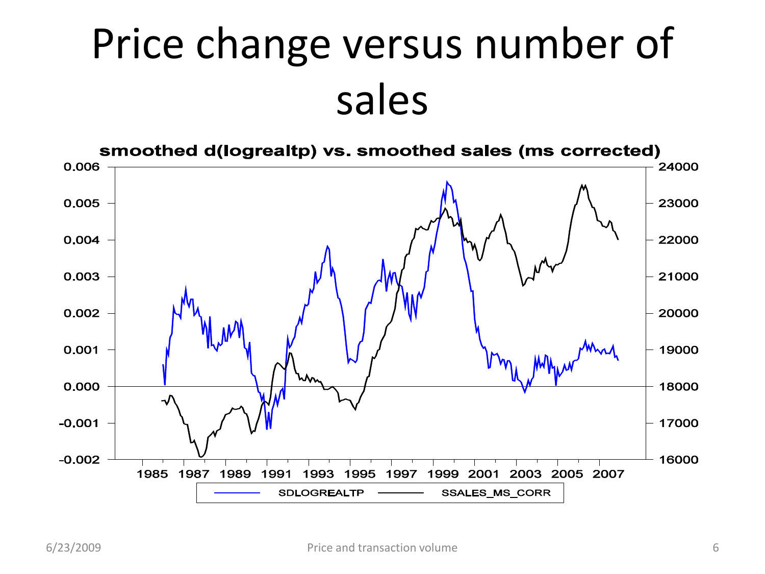# Price change versus number of sales

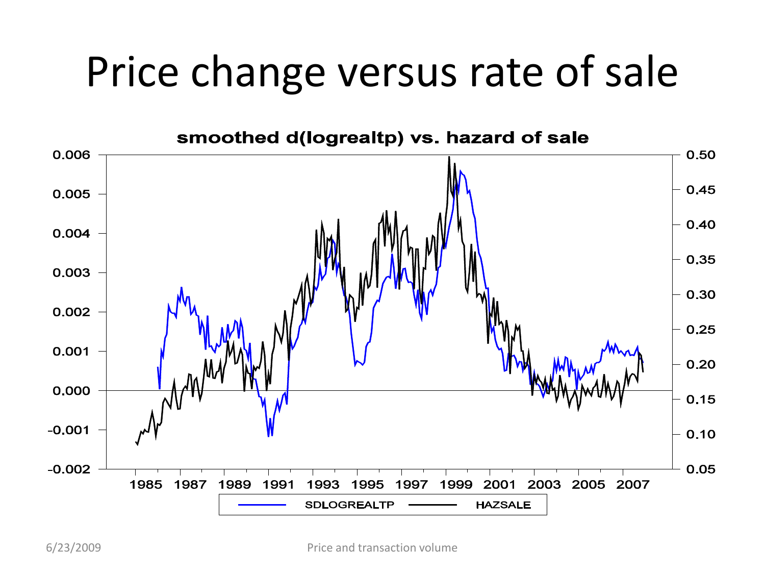## Price change versus rate of sale

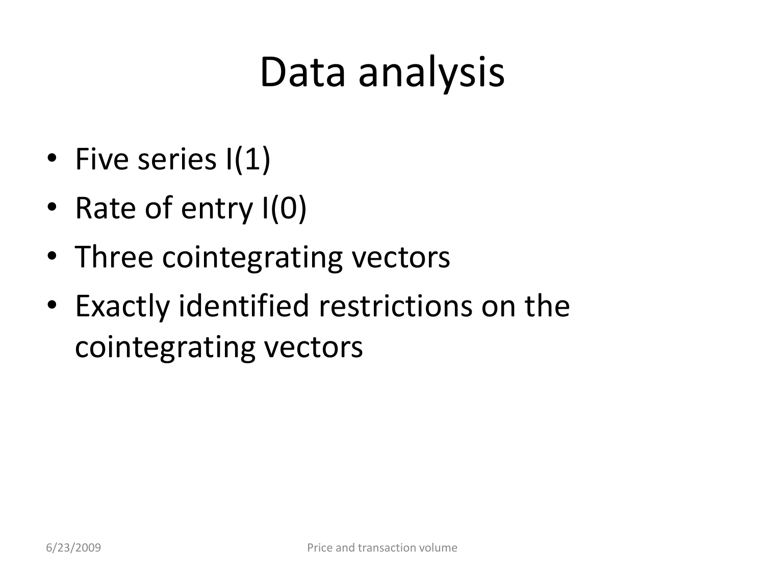## Data analysis

- Five series I(1)
- Rate of entry I(0)
- Three cointegrating vectors
- Exactly identified restrictions on the cointegrating vectors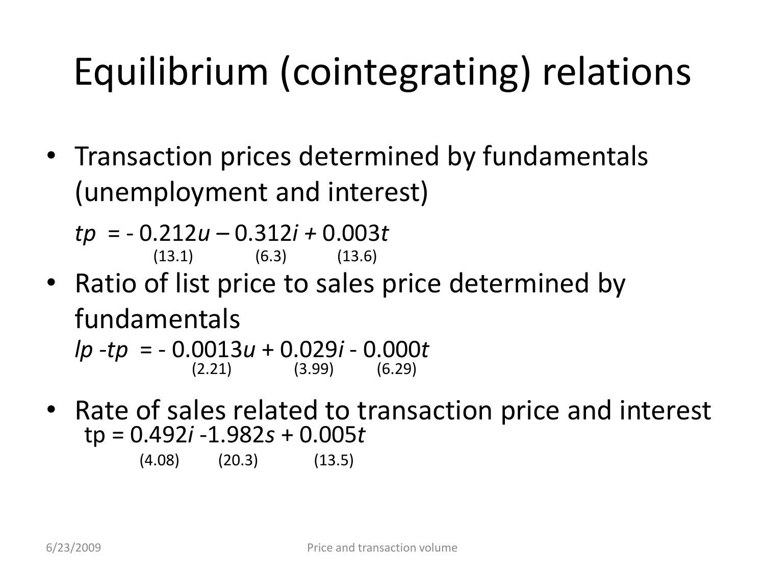## Equilibrium (cointegrating) relations

• Transaction prices determined by fundamentals (unemployment and interest)

*tp* = - 0.212*u –* 0.312*i +* 0.003*t*  $(13.1)$   $(6.3)$   $(13.6)$ 

- Ratio of list price to sales price determined by fundamentals  $lp -tp = -0.0013u + 0.029i - 0.000t$ <br>(2.21) (3.99) (6.29)  $(3.99)$
- Rate of sales related to transaction price and interest tp = 0.492*i* -1.982*s* + 0.005*t*

(4.08) (20.3) (13.5)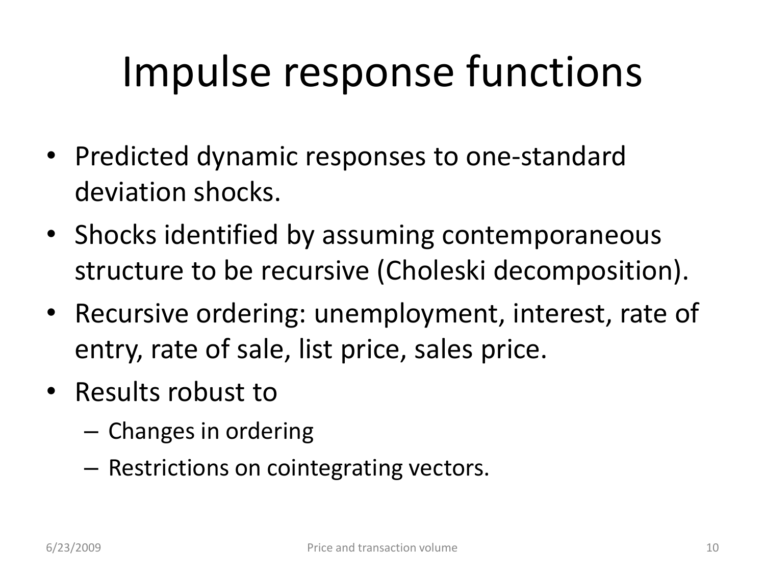# Impulse response functions

- Predicted dynamic responses to one-standard deviation shocks.
- Shocks identified by assuming contemporaneous structure to be recursive (Choleski decomposition).
- Recursive ordering: unemployment, interest, rate of entry, rate of sale, list price, sales price.
- Results robust to
	- Changes in ordering
	- Restrictions on cointegrating vectors.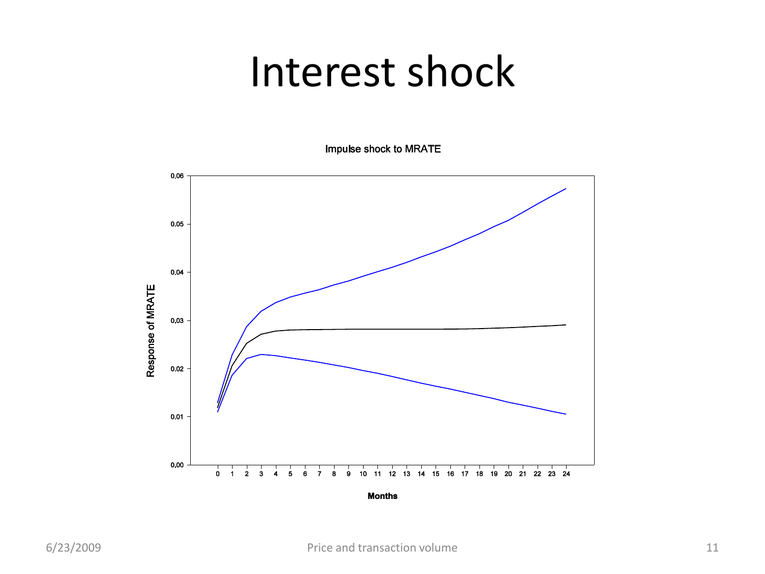### Interest shock

Impulse shock to MRATE

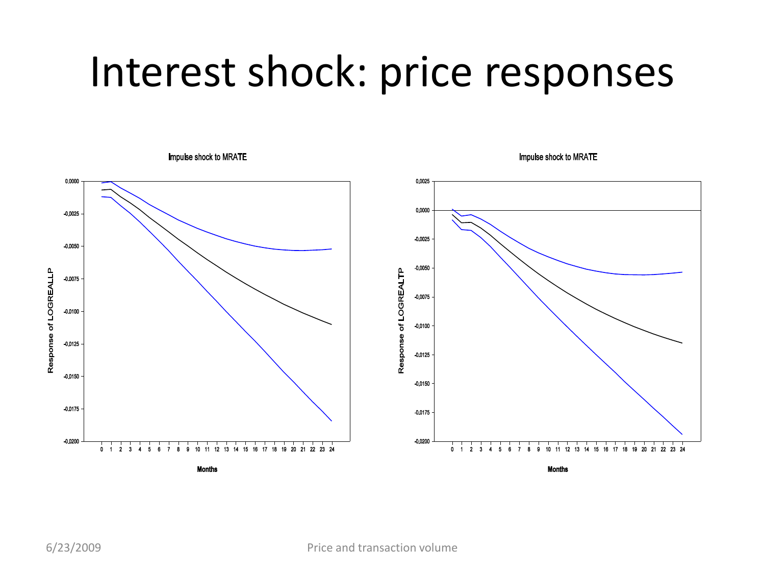### Interest shock: price responses



Impulse shock to MRATE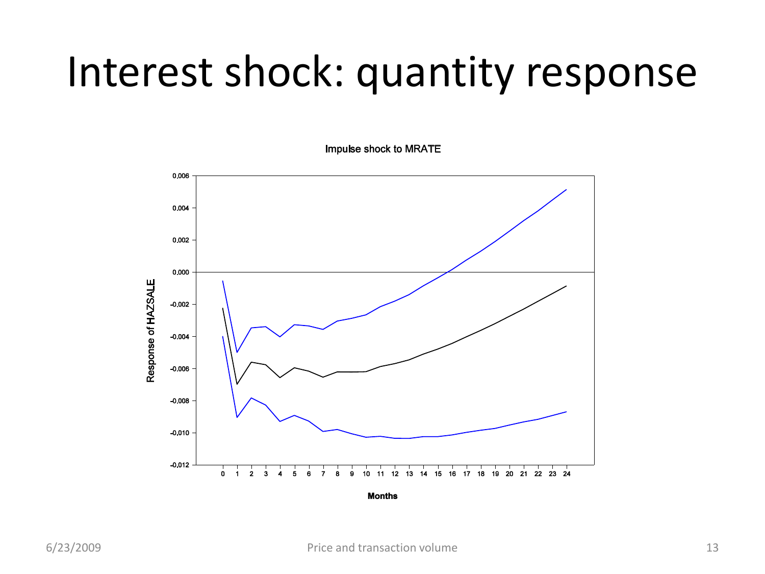### Interest shock: quantity response

Impulse shock to MRATE

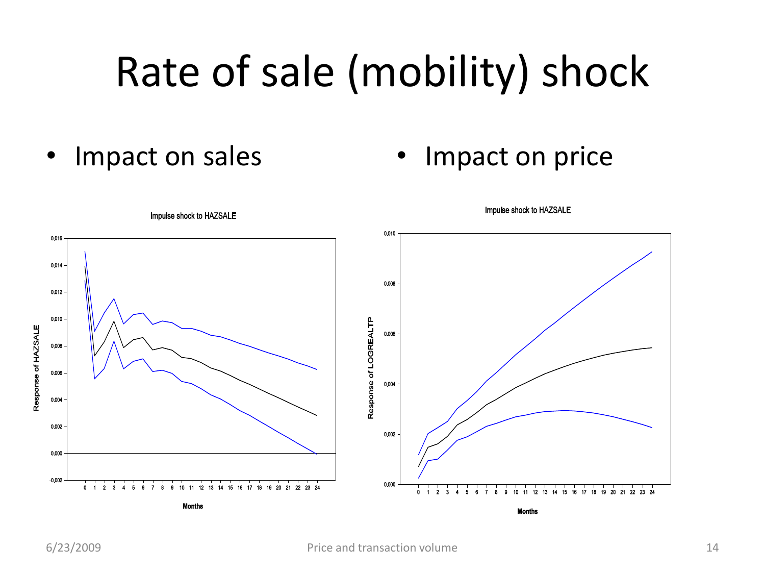# Rate of sale (mobility) shock

- 
- Impact on sales Impact on price

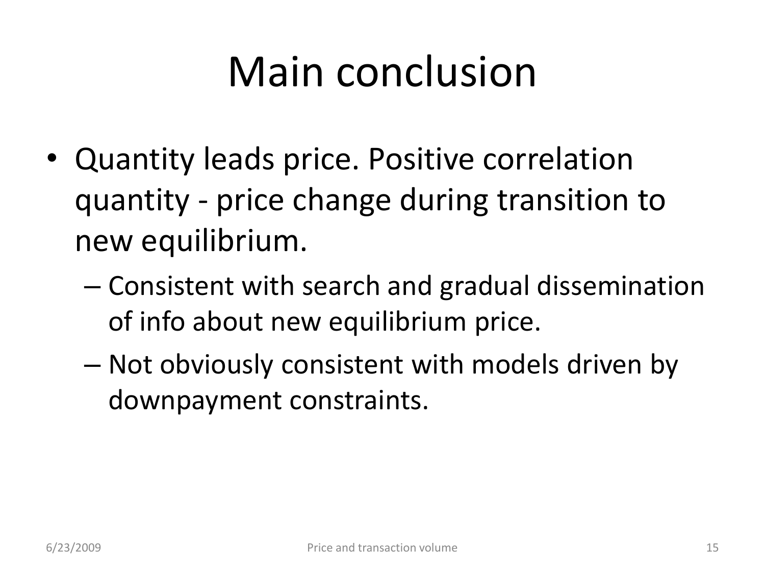# Main conclusion

- Quantity leads price. Positive correlation quantity - price change during transition to new equilibrium.
	- Consistent with search and gradual dissemination of info about new equilibrium price.
	- Not obviously consistent with models driven by downpayment constraints.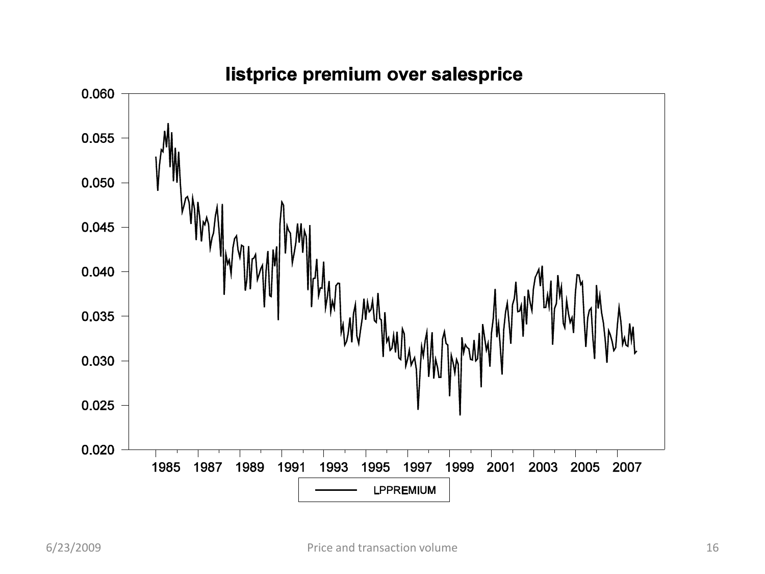

#### listprice premium over salesprice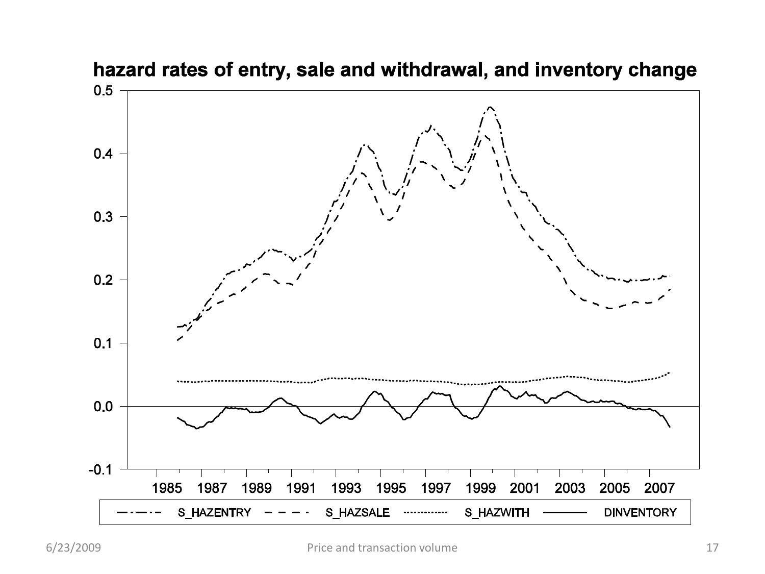

### hazard rates of entry, sale and withdrawal, and inventory change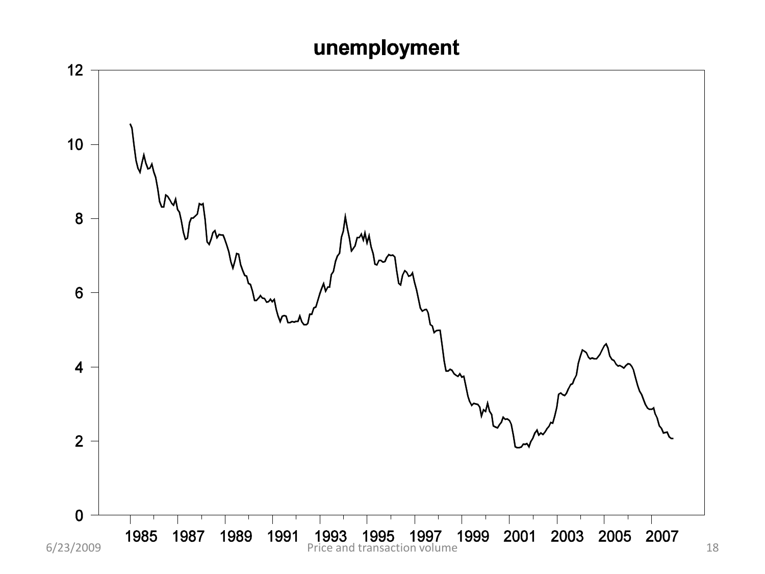### unemployment

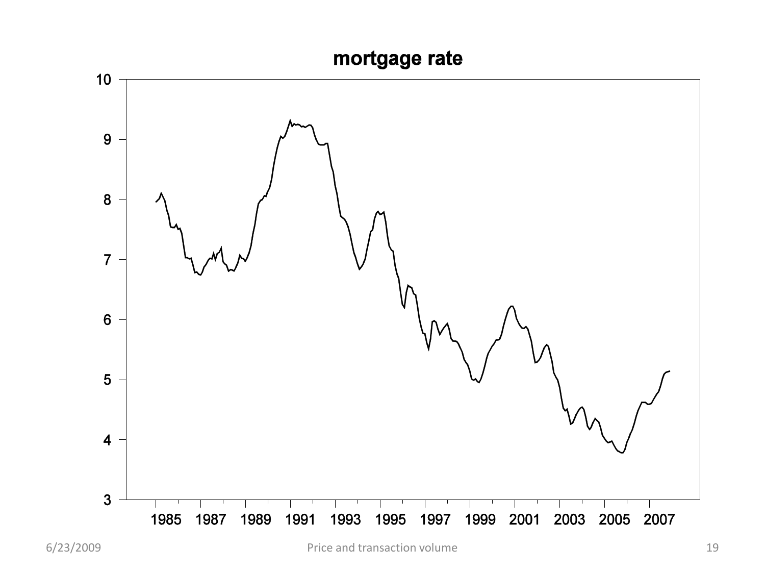#### mortgage rate